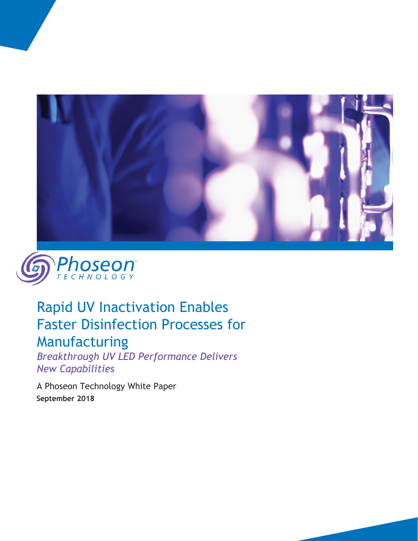



# Rapid UV Inactivation Enables Faster Disinfection Processes for

## Manufacturing

*Breakthrough UV LED Performance Delivers New Capabilities*

A Phoseon Technology White Paper  **September 2018**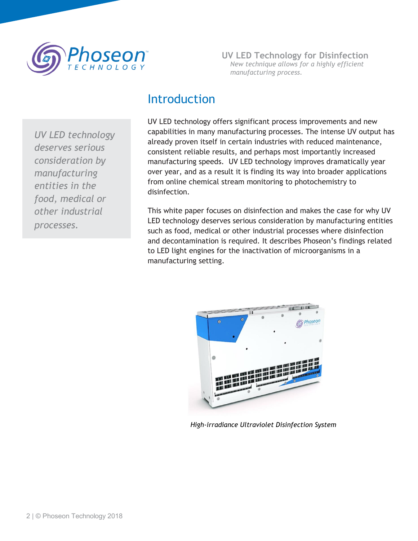

**UV LED Technology for Disinfection** *New technique allows for a highly efficient manufacturing process.*

#### Introduction

*UV LED technology deserves serious consideration by manufacturing entities in the food, medical or other industrial processes.*

UV LED technology offers significant process improvements and new capabilities in many manufacturing processes. The intense UV output has already proven itself in certain industries with reduced maintenance, consistent reliable results, and perhaps most importantly increased manufacturing speeds. UV LED technology improves dramatically year over year, and as a result it is finding its way into broader applications from online chemical stream monitoring to photochemistry to disinfection.

This white paper focuses on disinfection and makes the case for why UV LED technology deserves serious consideration by manufacturing entities such as food, medical or other industrial processes where disinfection and decontamination is required. It describes Phoseon's findings related to LED light engines for the inactivation of microorganisms in a manufacturing setting.



*High-irradiance Ultraviolet Disinfection System*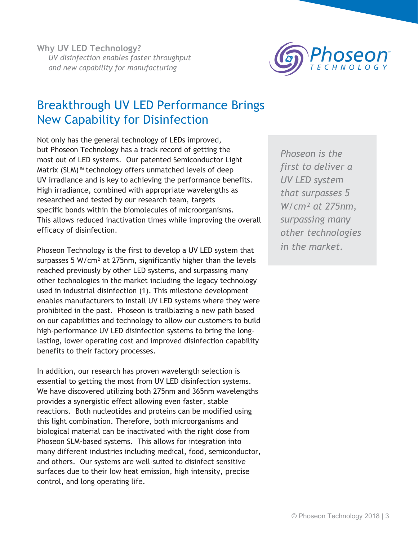

### Breakthrough UV LED Performance Brings New Capability for Disinfection

Not only has the general technology of LEDs improved, but Phoseon Technology has a track record of getting the most out of LED systems. Our patented Semiconductor Light Matrix (SLM)™ technology offers unmatched levels of deep UV irradiance and is key to achieving the performance benefits. High irradiance, combined with appropriate wavelengths as researched and tested by our research team, targets specific bonds within the biomolecules of microorganisms. This allows reduced inactivation times while improving the overall efficacy of disinfection.

Phoseon Technology is the first to develop a UV LED system that surpasses 5 W/cm² at 275nm, significantly higher than the levels reached previously by other LED systems, and surpassing many other technologies in the market including the legacy technology used in industrial disinfection (1). This milestone development enables manufacturers to install UV LED systems where they were prohibited in the past. Phoseon is trailblazing a new path based on our capabilities and technology to allow our customers to build high-performance UV LED disinfection systems to bring the longlasting, lower operating cost and improved disinfection capability benefits to their factory processes.

In addition, our research has proven wavelength selection is essential to getting the most from UV LED disinfection systems. We have discovered utilizing both 275nm and 365nm wavelengths provides a synergistic effect allowing even faster, stable reactions. Both nucleotides and proteins can be modified using this light combination. Therefore, both microorganisms and biological material can be inactivated with the right dose from Phoseon SLM-based systems. This allows for integration into many different industries including medical, food, semiconductor, and others. Our systems are well-suited to disinfect sensitive surfaces due to their low heat emission, high intensity, precise control, and long operating life.

*Phoseon is the first to deliver a UV LED system that surpasses 5 W/cm² at 275nm, surpassing many other technologies in the market.*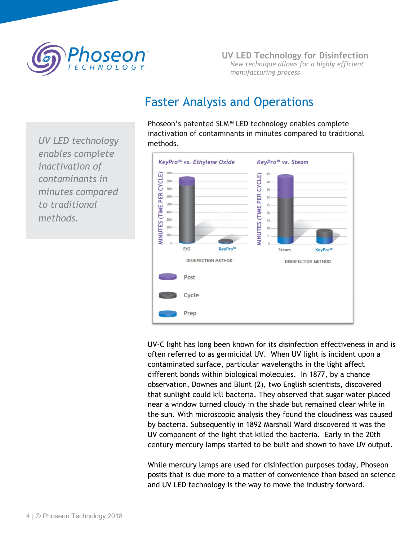

**UV LED Technology for Disinfection** *New technique allows for a highly efficient manufacturing process.*

### Faster Analysis and Operations

Phoseon's patented SLM™ LED technology enables complete inactivation of contaminants in minutes compared to traditional methods.



UV-C light has long been known for its disinfection effectiveness in and is often referred to as germicidal UV. When UV light is incident upon a contaminated surface, particular wavelengths in the light affect different bonds within biological molecules. In 1877, by a chance observation, Downes and Blunt (2), two English scientists, discovered that sunlight could kill bacteria. They observed that sugar water placed near a window turned cloudy in the shade but remained clear while in the sun. With microscopic analysis they found the cloudiness was caused by bacteria. Subsequently in 1892 Marshall Ward discovered it was the UV component of the light that killed the bacteria. Early in the 20th century mercury lamps started to be built and shown to have UV output.

While mercury lamps are used for disinfection purposes today, Phoseon posits that is due more to a matter of convenience than based on science and UV LED technology is the way to move the industry forward.

*UV LED technology enables complete inactivation of contaminants in minutes compared to traditional methods.*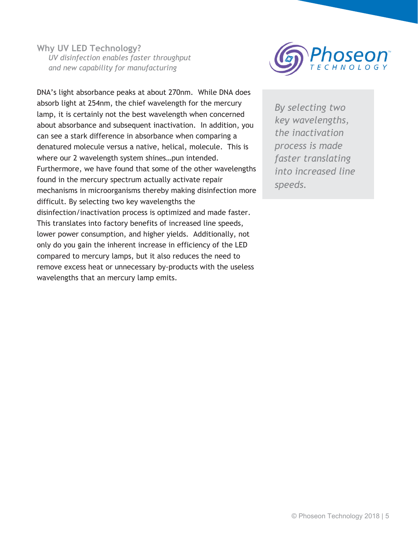**Why UV LED Technology?** *UV disinfection enables faster throughput and new capability for manufacturing*



DNA's light absorbance peaks at about 270nm. While DNA does absorb light at 254nm, the chief wavelength for the mercury lamp, it is certainly not the best wavelength when concerned about absorbance and subsequent inactivation. In addition, you can see a stark difference in absorbance when comparing a denatured molecule versus a native, helical, molecule. This is where our 2 wavelength system shines…pun intended. Furthermore, we have found that some of the other wavelengths found in the mercury spectrum actually activate repair mechanisms in microorganisms thereby making disinfection more difficult. By selecting two key wavelengths the disinfection/inactivation process is optimized and made faster. This translates into factory benefits of increased line speeds, lower power consumption, and higher yields. Additionally, not only do you gain the inherent increase in efficiency of the LED compared to mercury lamps, but it also reduces the need to remove excess heat or unnecessary by-products with the useless wavelengths that an mercury lamp emits.

*By selecting two key wavelengths, the inactivation process is made faster translating into increased line speeds.*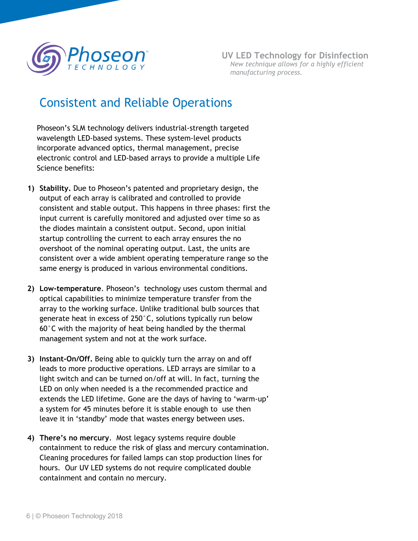

#### Consistent and Reliable Operations

Phoseon's SLM technology delivers industrial-strength targeted wavelength LED-based systems. These system-level products incorporate advanced optics, thermal management, precise electronic control and LED-based arrays to provide a multiple Life Science benefits:

- **1) Stability.** Due to Phoseon's patented and proprietary design, the output of each array is calibrated and controlled to provide consistent and stable output. This happens in three phases: first the input current is carefully monitored and adjusted over time so as the diodes maintain a consistent output. Second, upon initial startup controlling the current to each array ensures the no overshoot of the nominal operating output. Last, the units are consistent over a wide ambient operating temperature range so the same energy is produced in various environmental conditions.
- **2) Low-temperature**. Phoseon's technology uses custom thermal and optical capabilities to minimize temperature transfer from the array to the working surface. Unlike traditional bulb sources that generate heat in excess of 250°C, solutions typically run below 60°C with the majority of heat being handled by the thermal management system and not at the work surface.
- **3) Instant-On/Off.** Being able to quickly turn the array on and off leads to more productive operations. LED arrays are similar to a light switch and can be turned on/off at will. In fact, turning the LED on only when needed is a the recommended practice and extends the LED lifetime. Gone are the days of having to 'warm-up' a system for 45 minutes before it is stable enough to use then leave it in 'standby' mode that wastes energy between uses.
- **4) There's no mercury**. Most legacy systems require double containment to reduce the risk of glass and mercury contamination. Cleaning procedures for failed lamps can stop production lines for hours. Our UV LED systems do not require complicated double containment and contain no mercury.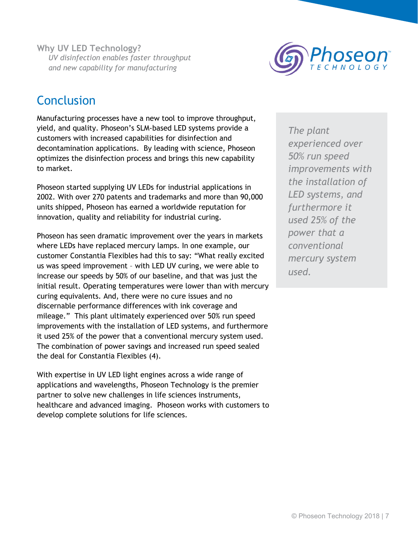**Why UV LED Technology?** *UV disinfection enables faster throughput and new capability for manufacturing*



### **Conclusion**

Manufacturing processes have a new tool to improve throughput, yield, and quality. Phoseon's SLM-based LED systems provide a customers with increased capabilities for disinfection and decontamination applications. By leading with science, Phoseon optimizes the disinfection process and brings this new capability to market.

Phoseon started supplying UV LEDs for industrial applications in 2002. With over 270 patents and trademarks and more than 90,000 units shipped, Phoseon has earned a worldwide reputation for innovation, quality and reliability for industrial curing.

Phoseon has seen dramatic improvement over the years in markets where LEDs have replaced mercury lamps. In one example, our customer Constantia Flexibles had this to say: "What really excited us was speed improvement – with LED UV curing, we were able to increase our speeds by 50% of our baseline, and that was just the initial result. Operating temperatures were lower than with mercury curing equivalents. And, there were no cure issues and no discernable performance differences with ink coverage and mileage." This plant ultimately experienced over 50% run speed improvements with the installation of LED systems, and furthermore it used 25% of the power that a conventional mercury system used. The combination of power savings and increased run speed sealed the deal for Constantia Flexibles (4).

With expertise in UV LED light engines across a wide range of applications and wavelengths, Phoseon Technology is the premier partner to solve new challenges in life sciences instruments, healthcare and advanced imaging. Phoseon works with customers to develop complete solutions for life sciences.

*The plant experienced over 50% run speed improvements with the installation of LED systems, and furthermore it used 25% of the power that a conventional mercury system used.*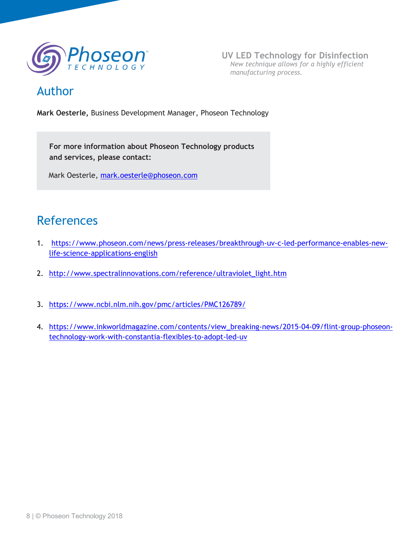

**UV LED Technology for Disinfection** *New technique allows for a highly efficient manufacturing process.*

#### Author

**Mark Oesterle,** Business Development Manager, Phoseon Technology

**For more information about Phoseon Technology products and services, please contact:**

Mark Oesterle, [mark.oesterle@phoseon.com](mailto:mark.oesterle@phoseon.com)

#### References

- 1. [https://www.phoseon.com/news/press-releases/breakthrough-uv-c-led-performance-enables-new](https://www.phoseon.com/news/press-releases/breakthrough-uv-c-led-performance-enables-new-life-science-applications-english)[life-science-applications-english](https://www.phoseon.com/news/press-releases/breakthrough-uv-c-led-performance-enables-new-life-science-applications-english)
- 2. [http://www.spectralinnovations.com/reference/ultraviolet\\_light.htm](http://www.spectralinnovations.com/reference/ultraviolet_light.htm)
- 3. https://www.ncbi.nlm.nih.gov/pmc/articles/PMC126789/
- 4. [https://www.inkworldmagazine.com/contents/view\\_breaking-news/2015-04-09/flint-group-phoseon](https://www.inkworldmagazine.com/contents/view_breaking-news/2015-04-09/flint-group-phoseon-technology-work-with-constantia-flexibles-to-adopt-led-uv)[technology-work-with-constantia-flexibles-to-adopt-led-uv](https://www.inkworldmagazine.com/contents/view_breaking-news/2015-04-09/flint-group-phoseon-technology-work-with-constantia-flexibles-to-adopt-led-uv)